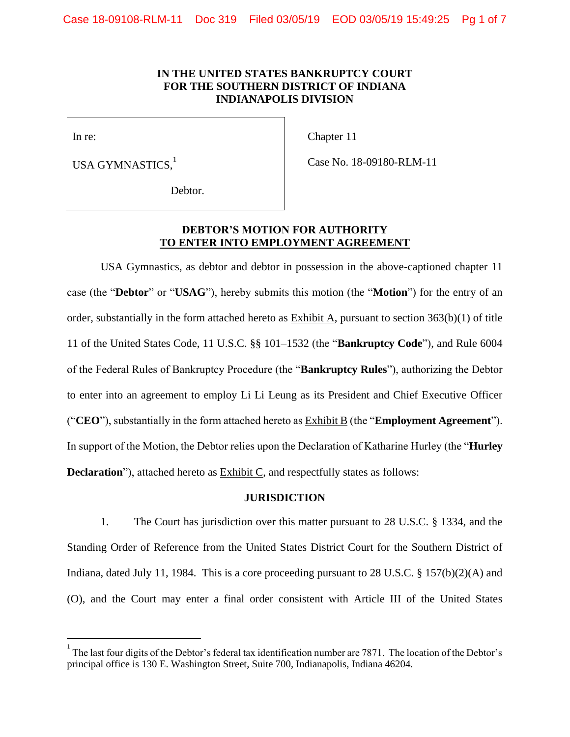# **IN THE UNITED STATES BANKRUPTCY COURT FOR THE SOUTHERN DISTRICT OF INDIANA INDIANAPOLIS DIVISION**

In re:

 $\overline{a}$ 

Chapter 11

USA GYMNASTICS.

Case No. 18-09180-RLM-11

Debtor.

# **DEBTOR'S MOTION FOR AUTHORITY TO ENTER INTO EMPLOYMENT AGREEMENT**

USA Gymnastics, as debtor and debtor in possession in the above-captioned chapter 11 case (the "**Debtor**" or "**USAG**"), hereby submits this motion (the "**Motion**") for the entry of an order, substantially in the form attached hereto as Exhibit A, pursuant to section 363(b)(1) of title 11 of the United States Code, 11 U.S.C. §§ 101–1532 (the "**Bankruptcy Code**"), and Rule 6004 of the Federal Rules of Bankruptcy Procedure (the "**Bankruptcy Rules**"), authorizing the Debtor to enter into an agreement to employ Li Li Leung as its President and Chief Executive Officer ("**CEO**"), substantially in the form attached hereto as Exhibit B (the "**Employment Agreement**"). In support of the Motion, the Debtor relies upon the Declaration of Katharine Hurley (the "**Hurley Declaration**"), attached hereto as **Exhibit C**, and respectfully states as follows:

#### **JURISDICTION**

1. The Court has jurisdiction over this matter pursuant to 28 U.S.C. § 1334, and the Standing Order of Reference from the United States District Court for the Southern District of Indiana, dated July 11, 1984. This is a core proceeding pursuant to 28 U.S.C. § 157(b)(2)(A) and (O), and the Court may enter a final order consistent with Article III of the United States

<sup>1</sup> The last four digits of the Debtor's federal tax identification number are 7871. The location of the Debtor's principal office is 130 E. Washington Street, Suite 700, Indianapolis, Indiana 46204.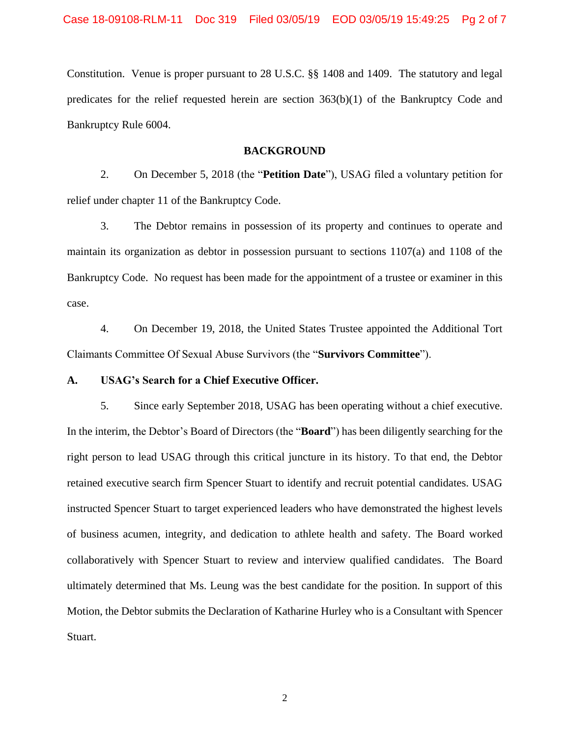Constitution. Venue is proper pursuant to 28 U.S.C. §§ 1408 and 1409. The statutory and legal predicates for the relief requested herein are section  $363(b)(1)$  of the Bankruptcy Code and Bankruptcy Rule 6004.

### **BACKGROUND**

2. On December 5, 2018 (the "**Petition Date**"), USAG filed a voluntary petition for relief under chapter 11 of the Bankruptcy Code.

3. The Debtor remains in possession of its property and continues to operate and maintain its organization as debtor in possession pursuant to sections 1107(a) and 1108 of the Bankruptcy Code. No request has been made for the appointment of a trustee or examiner in this case.

4. On December 19, 2018, the United States Trustee appointed the Additional Tort Claimants Committee Of Sexual Abuse Survivors (the "**Survivors Committee**").

# **A. USAG's Search for a Chief Executive Officer.**

5. Since early September 2018, USAG has been operating without a chief executive. In the interim, the Debtor's Board of Directors (the "**Board**") has been diligently searching for the right person to lead USAG through this critical juncture in its history. To that end, the Debtor retained executive search firm Spencer Stuart to identify and recruit potential candidates. USAG instructed Spencer Stuart to target experienced leaders who have demonstrated the highest levels of business acumen, integrity, and dedication to athlete health and safety. The Board worked collaboratively with Spencer Stuart to review and interview qualified candidates. The Board ultimately determined that Ms. Leung was the best candidate for the position. In support of this Motion, the Debtor submits the Declaration of Katharine Hurley who is a Consultant with Spencer Stuart.

2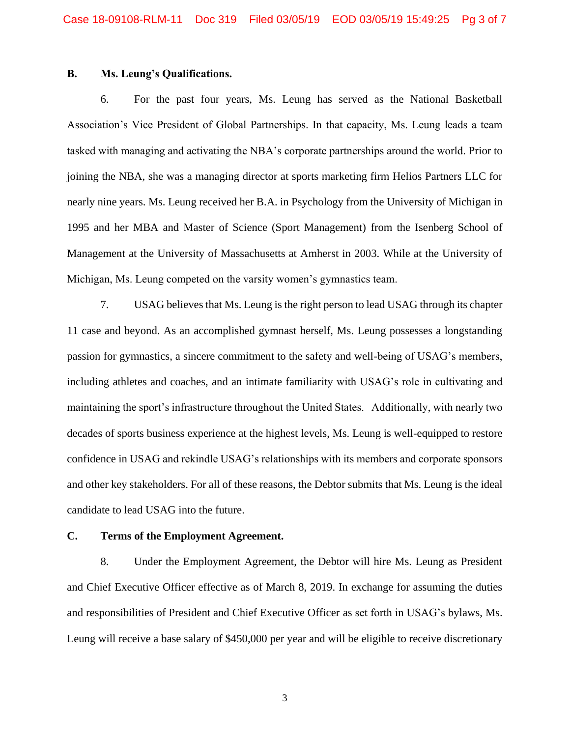# **B. Ms. Leung's Qualifications.**

6. For the past four years, Ms. Leung has served as the National Basketball Association's Vice President of Global Partnerships. In that capacity, Ms. Leung leads a team tasked with managing and activating the NBA's corporate partnerships around the world. Prior to joining the NBA, she was a managing director at sports marketing firm Helios Partners LLC for nearly nine years. Ms. Leung received her B.A. in Psychology from the University of Michigan in 1995 and her MBA and Master of Science (Sport Management) from the Isenberg School of Management at the University of Massachusetts at Amherst in 2003. While at the University of Michigan, Ms. Leung competed on the varsity women's gymnastics team.

7. USAG believes that Ms. Leung is the right person to lead USAG through its chapter 11 case and beyond. As an accomplished gymnast herself, Ms. Leung possesses a longstanding passion for gymnastics, a sincere commitment to the safety and well-being of USAG's members, including athletes and coaches, and an intimate familiarity with USAG's role in cultivating and maintaining the sport's infrastructure throughout the United States. Additionally, with nearly two decades of sports business experience at the highest levels, Ms. Leung is well-equipped to restore confidence in USAG and rekindle USAG's relationships with its members and corporate sponsors and other key stakeholders. For all of these reasons, the Debtor submits that Ms. Leung is the ideal candidate to lead USAG into the future.

### **C. Terms of the Employment Agreement.**

8. Under the Employment Agreement, the Debtor will hire Ms. Leung as President and Chief Executive Officer effective as of March 8, 2019. In exchange for assuming the duties and responsibilities of President and Chief Executive Officer as set forth in USAG's bylaws, Ms. Leung will receive a base salary of \$450,000 per year and will be eligible to receive discretionary

3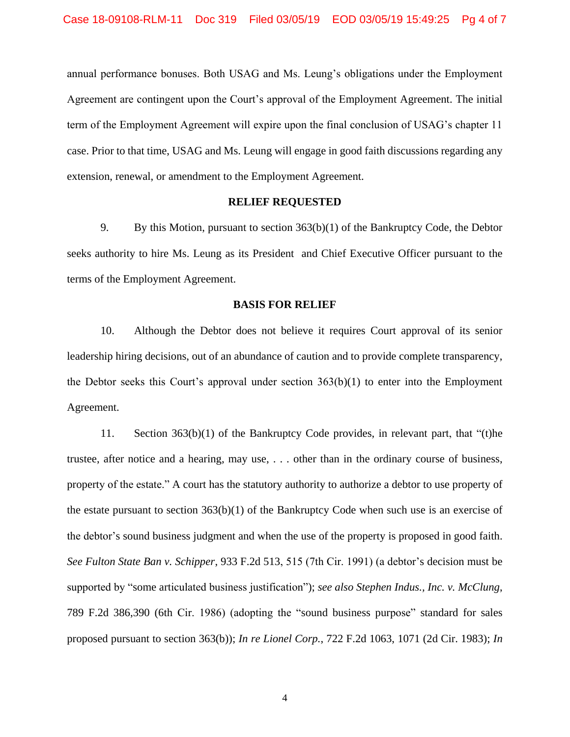annual performance bonuses. Both USAG and Ms. Leung's obligations under the Employment Agreement are contingent upon the Court's approval of the Employment Agreement. The initial term of the Employment Agreement will expire upon the final conclusion of USAG's chapter 11 case. Prior to that time, USAG and Ms. Leung will engage in good faith discussions regarding any extension, renewal, or amendment to the Employment Agreement.

### **RELIEF REQUESTED**

9. By this Motion, pursuant to section 363(b)(1) of the Bankruptcy Code, the Debtor seeks authority to hire Ms. Leung as its President and Chief Executive Officer pursuant to the terms of the Employment Agreement.

#### **BASIS FOR RELIEF**

10. Although the Debtor does not believe it requires Court approval of its senior leadership hiring decisions, out of an abundance of caution and to provide complete transparency, the Debtor seeks this Court's approval under section 363(b)(1) to enter into the Employment Agreement.

11. Section 363(b)(1) of the Bankruptcy Code provides, in relevant part, that "(t)he trustee, after notice and a hearing, may use, . . . other than in the ordinary course of business, property of the estate." A court has the statutory authority to authorize a debtor to use property of the estate pursuant to section 363(b)(1) of the Bankruptcy Code when such use is an exercise of the debtor's sound business judgment and when the use of the property is proposed in good faith. *See Fulton State Ban v. Schipper*, 933 F.2d 513, 515 (7th Cir. 1991) (a debtor's decision must be supported by "some articulated business justification"); *see also Stephen Indus., Inc. v. McClung*, 789 F.2d 386,390 (6th Cir. 1986) (adopting the "sound business purpose" standard for sales proposed pursuant to section 363(b)); *In re Lionel Corp.*, 722 F.2d 1063, 1071 (2d Cir. 1983); *In*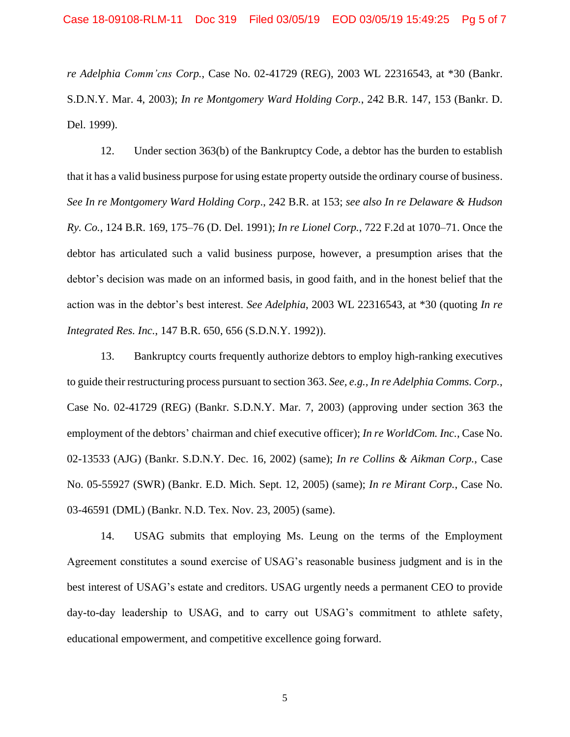*re Adelphia Comm'cns Corp.*, Case No. 02-41729 (REG), 2003 WL 22316543, at \*30 (Bankr. S.D.N.Y. Mar. 4, 2003); *In re Montgomery Ward Holding Corp.*, 242 B.R. 147, 153 (Bankr. D. Del. 1999).

12. Under section 363(b) of the Bankruptcy Code, a debtor has the burden to establish that it has a valid business purpose for using estate property outside the ordinary course of business. *See In re Montgomery Ward Holding Corp*., 242 B.R. at 153; *see also In re Delaware & Hudson Ry. Co.*, 124 B.R. 169, 175–76 (D. Del. 1991); *In re Lionel Corp.*, 722 F.2d at 1070–71. Once the debtor has articulated such a valid business purpose, however, a presumption arises that the debtor's decision was made on an informed basis, in good faith, and in the honest belief that the action was in the debtor's best interest. *See Adelphia*, 2003 WL 22316543, at \*30 (quoting *In re Integrated Res. Inc.*, 147 B.R. 650, 656 (S.D.N.Y. 1992)).

13. Bankruptcy courts frequently authorize debtors to employ high-ranking executives to guide their restructuring process pursuant to section 363. *See, e.g., In re Adelphia Comms. Corp.*, Case No. 02-41729 (REG) (Bankr. S.D.N.Y. Mar. 7, 2003) (approving under section 363 the employment of the debtors' chairman and chief executive officer); *In re WorldCom. Inc.*, Case No. 02-13533 (AJG) (Bankr. S.D.N.Y. Dec. 16, 2002) (same); *In re Collins & Aikman Corp.*, Case No. 05-55927 (SWR) (Bankr. E.D. Mich. Sept. 12, 2005) (same); *In re Mirant Corp.*, Case No. 03-46591 (DML) (Bankr. N.D. Tex. Nov. 23, 2005) (same).

14. USAG submits that employing Ms. Leung on the terms of the Employment Agreement constitutes a sound exercise of USAG's reasonable business judgment and is in the best interest of USAG's estate and creditors. USAG urgently needs a permanent CEO to provide day-to-day leadership to USAG, and to carry out USAG's commitment to athlete safety, educational empowerment, and competitive excellence going forward.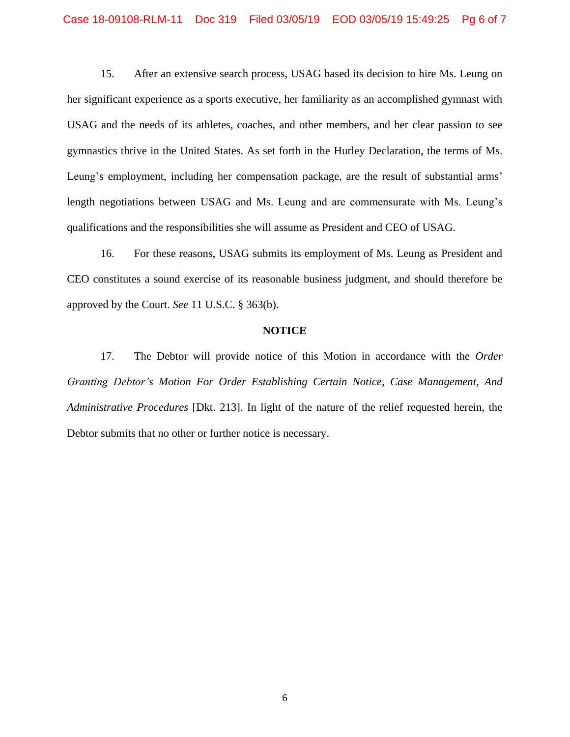15. After an extensive search process, USAG based its decision to hire Ms. Leung on her significant experience as a sports executive, her familiarity as an accomplished gymnast with USAG and the needs of its athletes, coaches, and other members, and her clear passion to see gymnastics thrive in the United States. As set forth in the Hurley Declaration, the terms of Ms. Leung's employment, including her compensation package, are the result of substantial arms' length negotiations between USAG and Ms. Leung and are commensurate with Ms. Leung's qualifications and the responsibilities she will assume as President and CEO of USAG.

16. For these reasons, USAG submits its employment of Ms. Leung as President and CEO constitutes a sound exercise of its reasonable business judgment, and should therefore be approved by the Court. *See* 11 U.S.C. § 363(b).

#### **NOTICE**

17. The Debtor will provide notice of this Motion in accordance with the *Order Granting Debtor's Motion For Order Establishing Certain Notice, Case Management, And Administrative Procedures* [Dkt. 213]. In light of the nature of the relief requested herein, the Debtor submits that no other or further notice is necessary.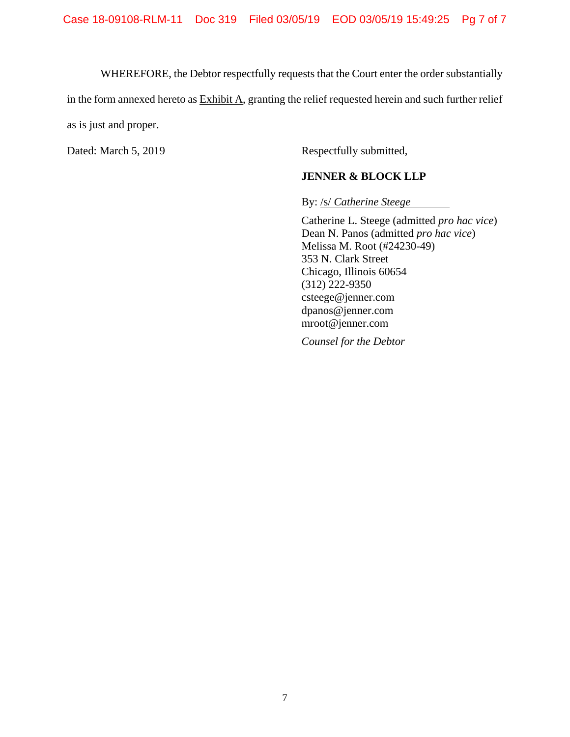WHEREFORE, the Debtor respectfully requests that the Court enter the order substantially

in the form annexed hereto as Exhibit A, granting the relief requested herein and such further relief

as is just and proper.

Dated: March 5, 2019 Respectfully submitted,

# **JENNER & BLOCK LLP**

By: /s/ *Catherine Steege*

Catherine L. Steege (admitted *pro hac vice*) Dean N. Panos (admitted *pro hac vice*) Melissa M. Root (#24230-49) 353 N. Clark Street Chicago, Illinois 60654 (312) 222-9350 csteege@jenner.com dpanos@jenner.com mroot@jenner.com

*Counsel for the Debtor*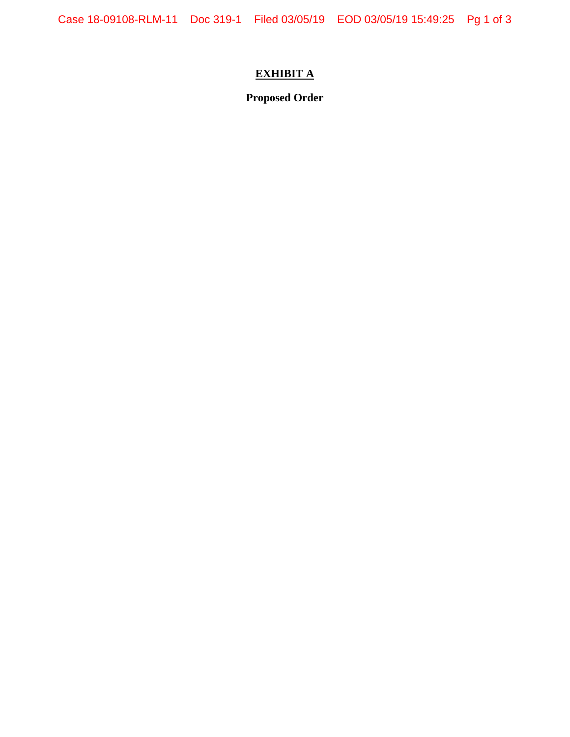# **EXHIBIT A**

**Proposed Order**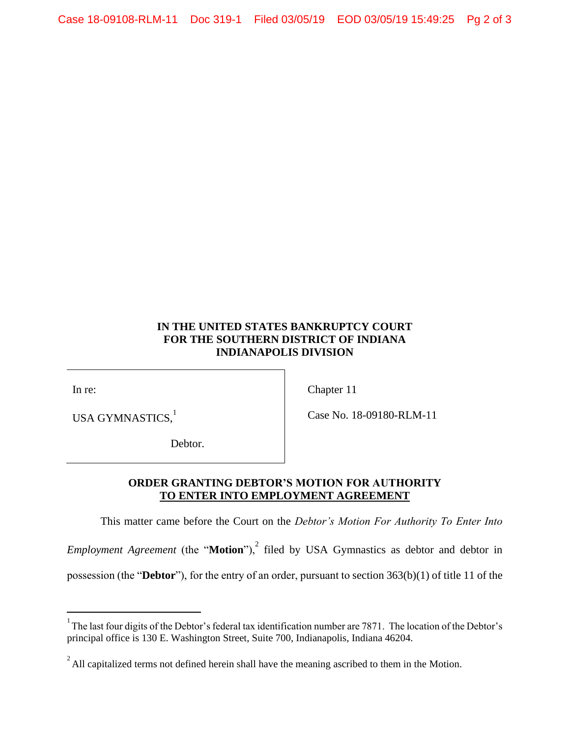# **IN THE UNITED STATES BANKRUPTCY COURT FOR THE SOUTHERN DISTRICT OF INDIANA INDIANAPOLIS DIVISION**

In re:

 $\overline{a}$ 

USA GYMNASTICS.<sup>1</sup>

Chapter 11

Case No. 18-09180-RLM-11

Debtor.

# **ORDER GRANTING DEBTOR'S MOTION FOR AUTHORITY TO ENTER INTO EMPLOYMENT AGREEMENT**

This matter came before the Court on the *Debtor's Motion For Authority To Enter Into* 

*Employment Agreement* (the "**Motion**"),<sup>2</sup> filed by USA Gymnastics as debtor and debtor in possession (the "**Debtor**"), for the entry of an order, pursuant to section 363(b)(1) of title 11 of the

<sup>&</sup>lt;sup>1</sup> The last four digits of the Debtor's federal tax identification number are 7871. The location of the Debtor's principal office is 130 E. Washington Street, Suite 700, Indianapolis, Indiana 46204.

 $2^{2}$  All capitalized terms not defined herein shall have the meaning ascribed to them in the Motion.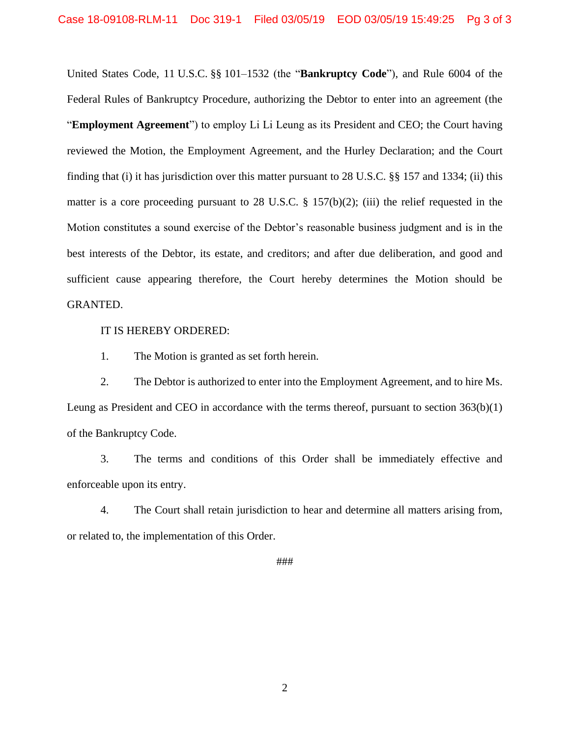United States Code, 11 U.S.C. §§ 101–1532 (the "**Bankruptcy Code**"), and Rule 6004 of the Federal Rules of Bankruptcy Procedure, authorizing the Debtor to enter into an agreement (the "**Employment Agreement**") to employ Li Li Leung as its President and CEO; the Court having reviewed the Motion, the Employment Agreement, and the Hurley Declaration; and the Court finding that (i) it has jurisdiction over this matter pursuant to 28 U.S.C. §§ 157 and 1334; (ii) this matter is a core proceeding pursuant to 28 U.S.C.  $\S$  157(b)(2); (iii) the relief requested in the Motion constitutes a sound exercise of the Debtor's reasonable business judgment and is in the best interests of the Debtor, its estate, and creditors; and after due deliberation, and good and sufficient cause appearing therefore, the Court hereby determines the Motion should be GRANTED.

IT IS HEREBY ORDERED:

1. The Motion is granted as set forth herein.

2. The Debtor is authorized to enter into the Employment Agreement, and to hire Ms. Leung as President and CEO in accordance with the terms thereof, pursuant to section 363(b)(1) of the Bankruptcy Code.

3. The terms and conditions of this Order shall be immediately effective and enforceable upon its entry.

4. The Court shall retain jurisdiction to hear and determine all matters arising from, or related to, the implementation of this Order.

###

2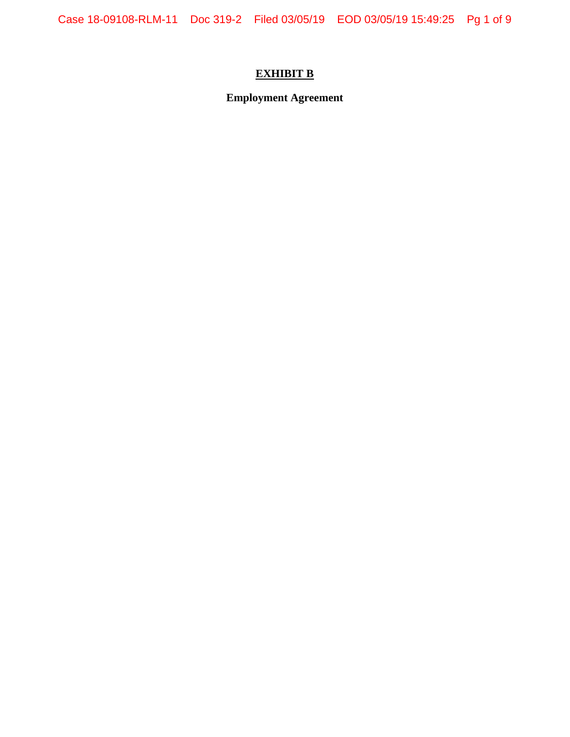# **EXHIBIT B**

**Employment Agreement**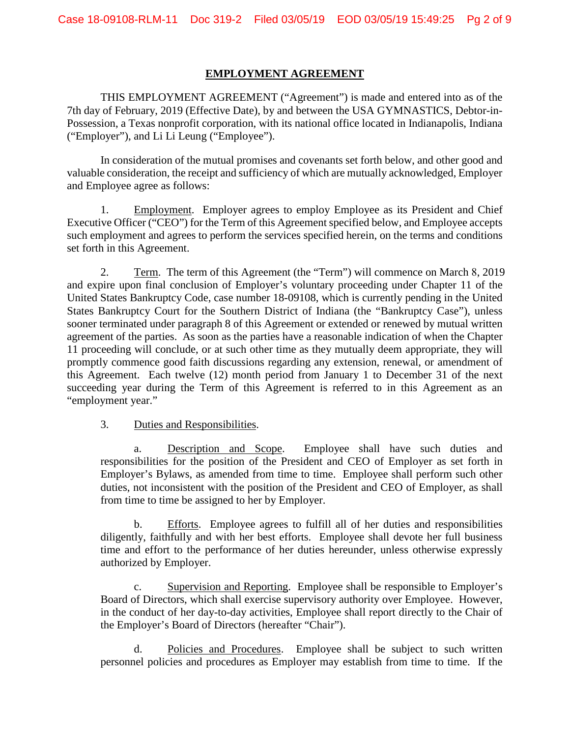# **EMPLOYMENT AGREEMENT**

THIS EMPLOYMENT AGREEMENT ("Agreement") is made and entered into as of the 7th day of February, 2019 (Effective Date), by and between the USA GYMNASTICS, Debtor-in-Possession, a Texas nonprofit corporation, with its national office located in Indianapolis, Indiana ("Employer"), and Li Li Leung ("Employee").

In consideration of the mutual promises and covenants set forth below, and other good and valuable consideration, the receipt and sufficiency of which are mutually acknowledged, Employer and Employee agree as follows:

1. Employment. Employer agrees to employ Employee as its President and Chief Executive Officer ("CEO") for the Term of this Agreement specified below, and Employee accepts such employment and agrees to perform the services specified herein, on the terms and conditions set forth in this Agreement.

2. Term. The term of this Agreement (the "Term") will commence on March 8, 2019 and expire upon final conclusion of Employer's voluntary proceeding under Chapter 11 of the United States Bankruptcy Code, case number 18-09108, which is currently pending in the United States Bankruptcy Court for the Southern District of Indiana (the "Bankruptcy Case"), unless sooner terminated under paragraph 8 of this Agreement or extended or renewed by mutual written agreement of the parties. As soon as the parties have a reasonable indication of when the Chapter 11 proceeding will conclude, or at such other time as they mutually deem appropriate, they will promptly commence good faith discussions regarding any extension, renewal, or amendment of this Agreement. Each twelve (12) month period from January 1 to December 31 of the next succeeding year during the Term of this Agreement is referred to in this Agreement as an "employment year."

3. Duties and Responsibilities.

a. Description and Scope. Employee shall have such duties and responsibilities for the position of the President and CEO of Employer as set forth in Employer's Bylaws, as amended from time to time. Employee shall perform such other duties, not inconsistent with the position of the President and CEO of Employer, as shall from time to time be assigned to her by Employer.

b. Efforts. Employee agrees to fulfill all of her duties and responsibilities diligently, faithfully and with her best efforts. Employee shall devote her full business time and effort to the performance of her duties hereunder, unless otherwise expressly authorized by Employer.

c. Supervision and Reporting. Employee shall be responsible to Employer's Board of Directors, which shall exercise supervisory authority over Employee. However, in the conduct of her day-to-day activities, Employee shall report directly to the Chair of the Employer's Board of Directors (hereafter "Chair").

d. Policies and Procedures. Employee shall be subject to such written personnel policies and procedures as Employer may establish from time to time. If the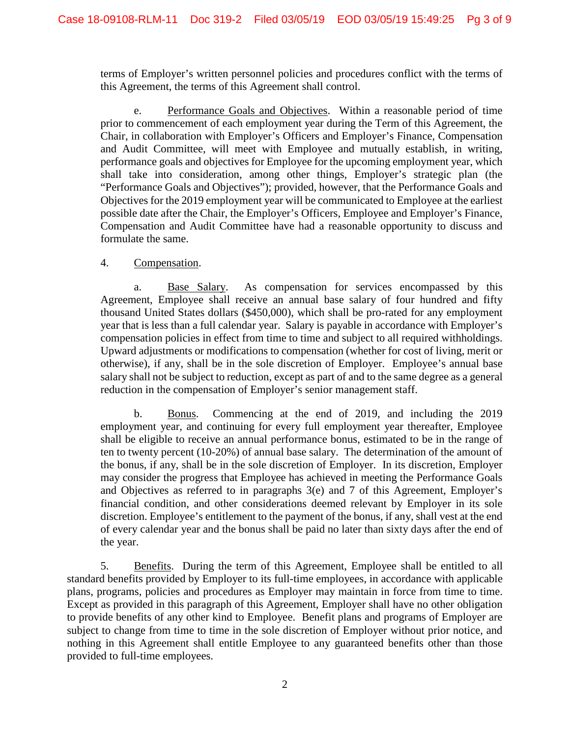terms of Employer's written personnel policies and procedures conflict with the terms of this Agreement, the terms of this Agreement shall control.

e. Performance Goals and Objectives. Within a reasonable period of time prior to commencement of each employment year during the Term of this Agreement, the Chair, in collaboration with Employer's Officers and Employer's Finance, Compensation and Audit Committee, will meet with Employee and mutually establish, in writing, performance goals and objectives for Employee for the upcoming employment year, which shall take into consideration, among other things, Employer's strategic plan (the "Performance Goals and Objectives"); provided, however, that the Performance Goals and Objectives for the 2019 employment year will be communicated to Employee at the earliest possible date after the Chair, the Employer's Officers, Employee and Employer's Finance, Compensation and Audit Committee have had a reasonable opportunity to discuss and formulate the same.

# 4. Compensation.

a. Base Salary. As compensation for services encompassed by this Agreement, Employee shall receive an annual base salary of four hundred and fifty thousand United States dollars (\$450,000), which shall be pro-rated for any employment year that is less than a full calendar year. Salary is payable in accordance with Employer's compensation policies in effect from time to time and subject to all required withholdings. Upward adjustments or modifications to compensation (whether for cost of living, merit or otherwise), if any, shall be in the sole discretion of Employer. Employee's annual base salary shall not be subject to reduction, except as part of and to the same degree as a general reduction in the compensation of Employer's senior management staff.

b. Bonus. Commencing at the end of 2019, and including the 2019 employment year, and continuing for every full employment year thereafter, Employee shall be eligible to receive an annual performance bonus, estimated to be in the range of ten to twenty percent (10-20%) of annual base salary. The determination of the amount of the bonus, if any, shall be in the sole discretion of Employer. In its discretion, Employer may consider the progress that Employee has achieved in meeting the Performance Goals and Objectives as referred to in paragraphs 3(e) and 7 of this Agreement, Employer's financial condition, and other considerations deemed relevant by Employer in its sole discretion. Employee's entitlement to the payment of the bonus, if any, shall vest at the end of every calendar year and the bonus shall be paid no later than sixty days after the end of the year.

5. Benefits. During the term of this Agreement, Employee shall be entitled to all standard benefits provided by Employer to its full-time employees, in accordance with applicable plans, programs, policies and procedures as Employer may maintain in force from time to time. Except as provided in this paragraph of this Agreement, Employer shall have no other obligation to provide benefits of any other kind to Employee. Benefit plans and programs of Employer are subject to change from time to time in the sole discretion of Employer without prior notice, and nothing in this Agreement shall entitle Employee to any guaranteed benefits other than those provided to full-time employees.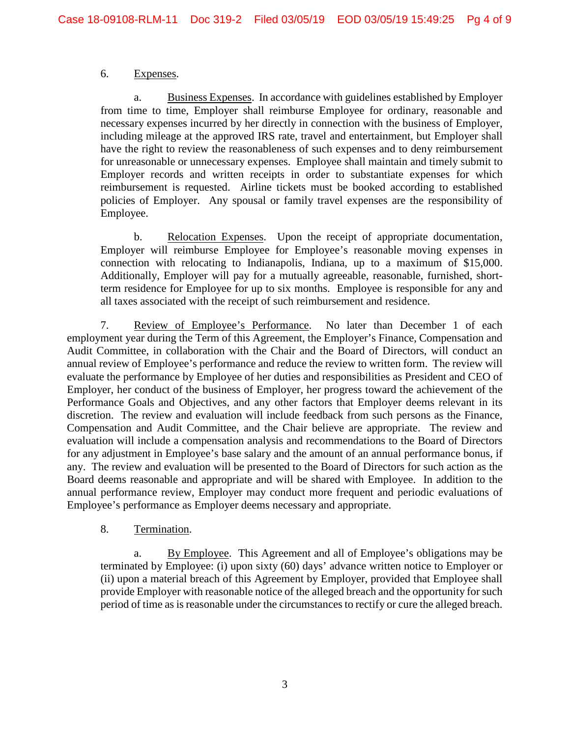# 6. Expenses.

a. Business Expenses. In accordance with guidelines established by Employer from time to time, Employer shall reimburse Employee for ordinary, reasonable and necessary expenses incurred by her directly in connection with the business of Employer, including mileage at the approved IRS rate, travel and entertainment, but Employer shall have the right to review the reasonableness of such expenses and to deny reimbursement for unreasonable or unnecessary expenses. Employee shall maintain and timely submit to Employer records and written receipts in order to substantiate expenses for which reimbursement is requested. Airline tickets must be booked according to established policies of Employer. Any spousal or family travel expenses are the responsibility of Employee.

b. Relocation Expenses. Upon the receipt of appropriate documentation, Employer will reimburse Employee for Employee's reasonable moving expenses in connection with relocating to Indianapolis, Indiana, up to a maximum of \$15,000. Additionally, Employer will pay for a mutually agreeable, reasonable, furnished, shortterm residence for Employee for up to six months. Employee is responsible for any and all taxes associated with the receipt of such reimbursement and residence.

7. Review of Employee's Performance. No later than December 1 of each employment year during the Term of this Agreement, the Employer's Finance, Compensation and Audit Committee, in collaboration with the Chair and the Board of Directors, will conduct an annual review of Employee's performance and reduce the review to written form. The review will evaluate the performance by Employee of her duties and responsibilities as President and CEO of Employer, her conduct of the business of Employer, her progress toward the achievement of the Performance Goals and Objectives, and any other factors that Employer deems relevant in its discretion. The review and evaluation will include feedback from such persons as the Finance, Compensation and Audit Committee, and the Chair believe are appropriate. The review and evaluation will include a compensation analysis and recommendations to the Board of Directors for any adjustment in Employee's base salary and the amount of an annual performance bonus, if any. The review and evaluation will be presented to the Board of Directors for such action as the Board deems reasonable and appropriate and will be shared with Employee. In addition to the annual performance review, Employer may conduct more frequent and periodic evaluations of Employee's performance as Employer deems necessary and appropriate.

# 8. Termination.

a. By Employee. This Agreement and all of Employee's obligations may be terminated by Employee: (i) upon sixty (60) days' advance written notice to Employer or (ii) upon a material breach of this Agreement by Employer, provided that Employee shall provide Employer with reasonable notice of the alleged breach and the opportunity for such period of time as is reasonable under the circumstances to rectify or cure the alleged breach.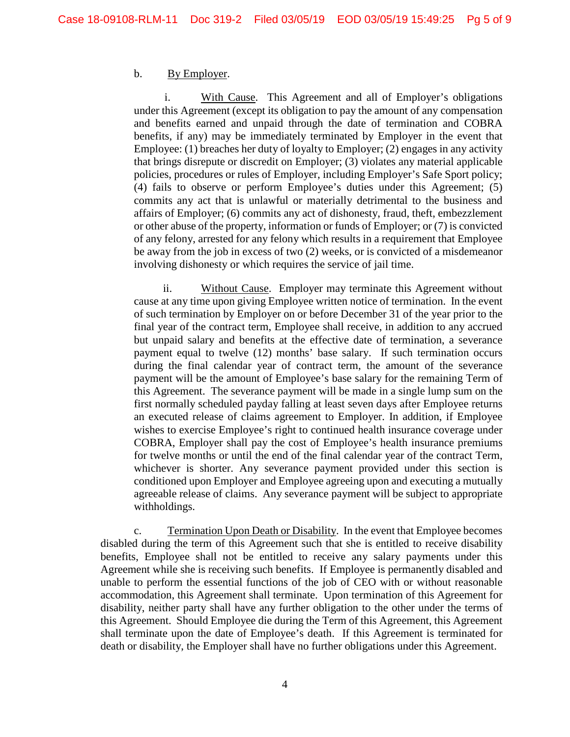# b. By Employer.

With Cause. This Agreement and all of Employer's obligations under this Agreement (except its obligation to pay the amount of any compensation and benefits earned and unpaid through the date of termination and COBRA benefits, if any) may be immediately terminated by Employer in the event that Employee: (1) breaches her duty of loyalty to Employer; (2) engages in any activity that brings disrepute or discredit on Employer; (3) violates any material applicable policies, procedures or rules of Employer, including Employer's Safe Sport policy; (4) fails to observe or perform Employee's duties under this Agreement; (5) commits any act that is unlawful or materially detrimental to the business and affairs of Employer; (6) commits any act of dishonesty, fraud, theft, embezzlement or other abuse of the property, information or funds of Employer; or (7) is convicted of any felony, arrested for any felony which results in a requirement that Employee be away from the job in excess of two (2) weeks, or is convicted of a misdemeanor involving dishonesty or which requires the service of jail time.

ii. Without Cause. Employer may terminate this Agreement without cause at any time upon giving Employee written notice of termination. In the event of such termination by Employer on or before December 31 of the year prior to the final year of the contract term, Employee shall receive, in addition to any accrued but unpaid salary and benefits at the effective date of termination, a severance payment equal to twelve (12) months' base salary. If such termination occurs during the final calendar year of contract term, the amount of the severance payment will be the amount of Employee's base salary for the remaining Term of this Agreement. The severance payment will be made in a single lump sum on the first normally scheduled payday falling at least seven days after Employee returns an executed release of claims agreement to Employer. In addition, if Employee wishes to exercise Employee's right to continued health insurance coverage under COBRA, Employer shall pay the cost of Employee's health insurance premiums for twelve months or until the end of the final calendar year of the contract Term, whichever is shorter. Any severance payment provided under this section is conditioned upon Employer and Employee agreeing upon and executing a mutually agreeable release of claims. Any severance payment will be subject to appropriate withholdings.

c. Termination Upon Death or Disability. In the event that Employee becomes disabled during the term of this Agreement such that she is entitled to receive disability benefits, Employee shall not be entitled to receive any salary payments under this Agreement while she is receiving such benefits. If Employee is permanently disabled and unable to perform the essential functions of the job of CEO with or without reasonable accommodation, this Agreement shall terminate. Upon termination of this Agreement for disability, neither party shall have any further obligation to the other under the terms of this Agreement. Should Employee die during the Term of this Agreement, this Agreement shall terminate upon the date of Employee's death. If this Agreement is terminated for death or disability, the Employer shall have no further obligations under this Agreement.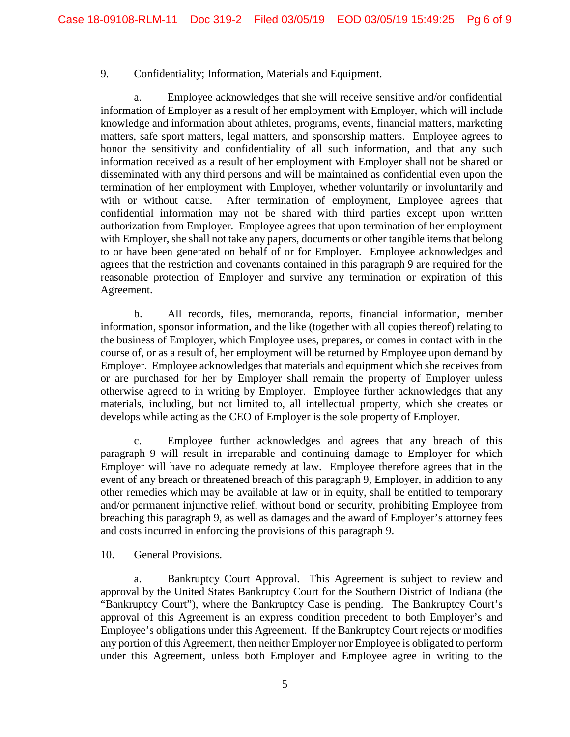# 9. Confidentiality; Information, Materials and Equipment.

a. Employee acknowledges that she will receive sensitive and/or confidential information of Employer as a result of her employment with Employer, which will include knowledge and information about athletes, programs, events, financial matters, marketing matters, safe sport matters, legal matters, and sponsorship matters. Employee agrees to honor the sensitivity and confidentiality of all such information, and that any such information received as a result of her employment with Employer shall not be shared or disseminated with any third persons and will be maintained as confidential even upon the termination of her employment with Employer, whether voluntarily or involuntarily and with or without cause. After termination of employment, Employee agrees that confidential information may not be shared with third parties except upon written authorization from Employer. Employee agrees that upon termination of her employment with Employer, she shall not take any papers, documents or other tangible items that belong to or have been generated on behalf of or for Employer. Employee acknowledges and agrees that the restriction and covenants contained in this paragraph 9 are required for the reasonable protection of Employer and survive any termination or expiration of this Agreement.

b. All records, files, memoranda, reports, financial information, member information, sponsor information, and the like (together with all copies thereof) relating to the business of Employer, which Employee uses, prepares, or comes in contact with in the course of, or as a result of, her employment will be returned by Employee upon demand by Employer. Employee acknowledges that materials and equipment which she receives from or are purchased for her by Employer shall remain the property of Employer unless otherwise agreed to in writing by Employer. Employee further acknowledges that any materials, including, but not limited to, all intellectual property, which she creates or develops while acting as the CEO of Employer is the sole property of Employer.

c. Employee further acknowledges and agrees that any breach of this paragraph 9 will result in irreparable and continuing damage to Employer for which Employer will have no adequate remedy at law. Employee therefore agrees that in the event of any breach or threatened breach of this paragraph 9, Employer, in addition to any other remedies which may be available at law or in equity, shall be entitled to temporary and/or permanent injunctive relief, without bond or security, prohibiting Employee from breaching this paragraph 9, as well as damages and the award of Employer's attorney fees and costs incurred in enforcing the provisions of this paragraph 9.

# 10. General Provisions.

a. Bankruptcy Court Approval. This Agreement is subject to review and approval by the United States Bankruptcy Court for the Southern District of Indiana (the "Bankruptcy Court"), where the Bankruptcy Case is pending. The Bankruptcy Court's approval of this Agreement is an express condition precedent to both Employer's and Employee's obligations under this Agreement. If the Bankruptcy Court rejects or modifies any portion of this Agreement, then neither Employer nor Employee is obligated to perform under this Agreement, unless both Employer and Employee agree in writing to the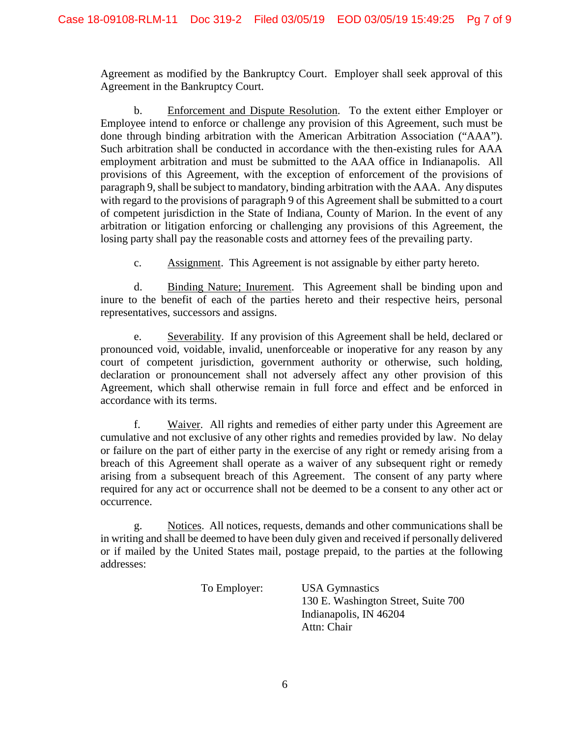Agreement as modified by the Bankruptcy Court. Employer shall seek approval of this Agreement in the Bankruptcy Court.

b. Enforcement and Dispute Resolution. To the extent either Employer or Employee intend to enforce or challenge any provision of this Agreement, such must be done through binding arbitration with the American Arbitration Association ("AAA"). Such arbitration shall be conducted in accordance with the then-existing rules for AAA employment arbitration and must be submitted to the AAA office in Indianapolis. All provisions of this Agreement, with the exception of enforcement of the provisions of paragraph 9, shall be subject to mandatory, binding arbitration with the AAA. Any disputes with regard to the provisions of paragraph 9 of this Agreement shall be submitted to a court of competent jurisdiction in the State of Indiana, County of Marion. In the event of any arbitration or litigation enforcing or challenging any provisions of this Agreement, the losing party shall pay the reasonable costs and attorney fees of the prevailing party.

c. Assignment. This Agreement is not assignable by either party hereto.

d. Binding Nature; Inurement. This Agreement shall be binding upon and inure to the benefit of each of the parties hereto and their respective heirs, personal representatives, successors and assigns.

e. Severability. If any provision of this Agreement shall be held, declared or pronounced void, voidable, invalid, unenforceable or inoperative for any reason by any court of competent jurisdiction, government authority or otherwise, such holding, declaration or pronouncement shall not adversely affect any other provision of this Agreement, which shall otherwise remain in full force and effect and be enforced in accordance with its terms.

f. Waiver. All rights and remedies of either party under this Agreement are cumulative and not exclusive of any other rights and remedies provided by law. No delay or failure on the part of either party in the exercise of any right or remedy arising from a breach of this Agreement shall operate as a waiver of any subsequent right or remedy arising from a subsequent breach of this Agreement. The consent of any party where required for any act or occurrence shall not be deemed to be a consent to any other act or occurrence.

g. Notices. All notices, requests, demands and other communications shall be in writing and shall be deemed to have been duly given and received if personally delivered or if mailed by the United States mail, postage prepaid, to the parties at the following addresses:

> To Employer: USA Gymnastics 130 E. Washington Street, Suite 700 Indianapolis, IN 46204 Attn: Chair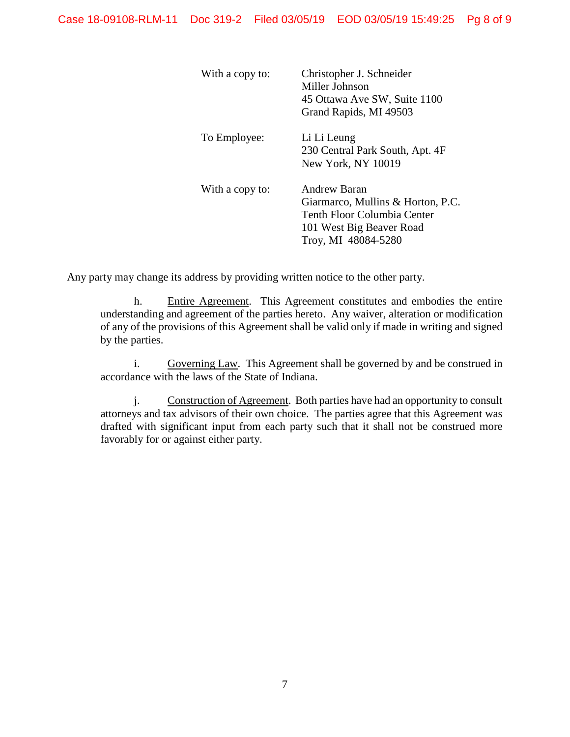| With a copy to: | Christopher J. Schneider<br>Miller Johnson<br>45 Ottawa Ave SW, Suite 1100<br>Grand Rapids, MI 49503                                |
|-----------------|-------------------------------------------------------------------------------------------------------------------------------------|
| To Employee:    | Li Li Leung<br>230 Central Park South, Apt. 4F<br>New York, NY 10019                                                                |
| With a copy to: | Andrew Baran<br>Giarmarco, Mullins & Horton, P.C.<br>Tenth Floor Columbia Center<br>101 West Big Beaver Road<br>Troy, MI 48084-5280 |

Any party may change its address by providing written notice to the other party.

h. Entire Agreement. This Agreement constitutes and embodies the entire understanding and agreement of the parties hereto. Any waiver, alteration or modification of any of the provisions of this Agreement shall be valid only if made in writing and signed by the parties.

i. Governing Law. This Agreement shall be governed by and be construed in accordance with the laws of the State of Indiana.

j. Construction of Agreement. Both parties have had an opportunity to consult attorneys and tax advisors of their own choice. The parties agree that this Agreement was drafted with significant input from each party such that it shall not be construed more favorably for or against either party.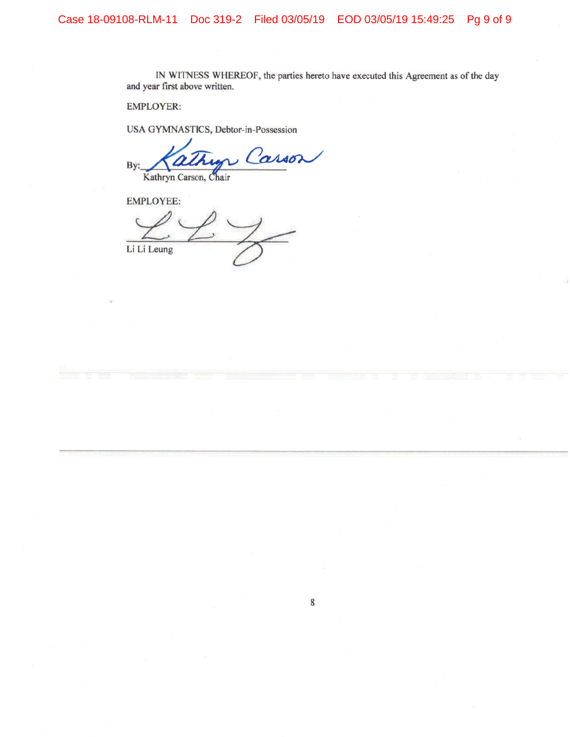IN WITNESS WHEREOF, the parties hereto have executed this Agreement as of the day and year first above written.

**EMPLOYER:** 

USA GYMNASTICS, Debtor-in-Possession

Carson By: Kathryn Carson, Chair

**EMPLOYEE:** 

Li Li Leung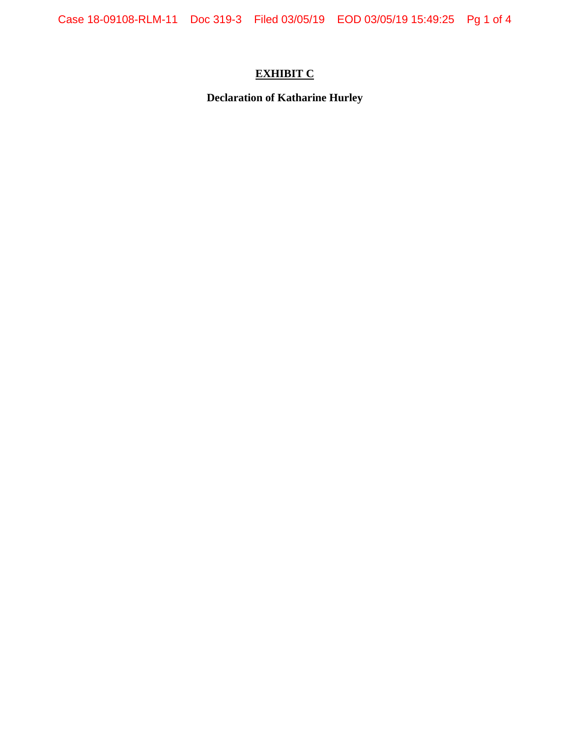# **EXHIBIT C**

**Declaration of Katharine Hurley**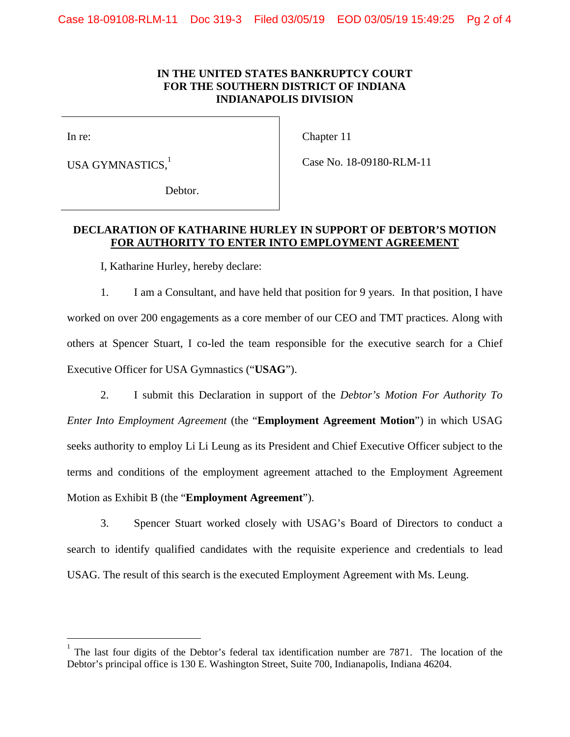# **IN THE UNITED STATES BANKRUPTCY COURT FOR THE SOUTHERN DISTRICT OF INDIANA INDIANAPOLIS DIVISION**

In re:

 $\overline{a}$ 

Chapter 11

USA GYMNASTICS.<sup>1</sup>

Case No. 18-09180-RLM-11

Debtor.

# **DECLARATION OF KATHARINE HURLEY IN SUPPORT OF DEBTOR'S MOTION FOR AUTHORITY TO ENTER INTO EMPLOYMENT AGREEMENT**

I, Katharine Hurley, hereby declare:

1. I am a Consultant, and have held that position for 9 years. In that position, I have worked on over 200 engagements as a core member of our CEO and TMT practices. Along with others at Spencer Stuart, I co-led the team responsible for the executive search for a Chief Executive Officer for USA Gymnastics ("**USAG**").

2. I submit this Declaration in support of the *Debtor's Motion For Authority To Enter Into Employment Agreement* (the "**Employment Agreement Motion**") in which USAG seeks authority to employ Li Li Leung as its President and Chief Executive Officer subject to the terms and conditions of the employment agreement attached to the Employment Agreement Motion as Exhibit B (the "**Employment Agreement**").

3. Spencer Stuart worked closely with USAG's Board of Directors to conduct a search to identify qualified candidates with the requisite experience and credentials to lead USAG. The result of this search is the executed Employment Agreement with Ms. Leung.

<sup>1</sup> The last four digits of the Debtor's federal tax identification number are 7871. The location of the Debtor's principal office is 130 E. Washington Street, Suite 700, Indianapolis, Indiana 46204.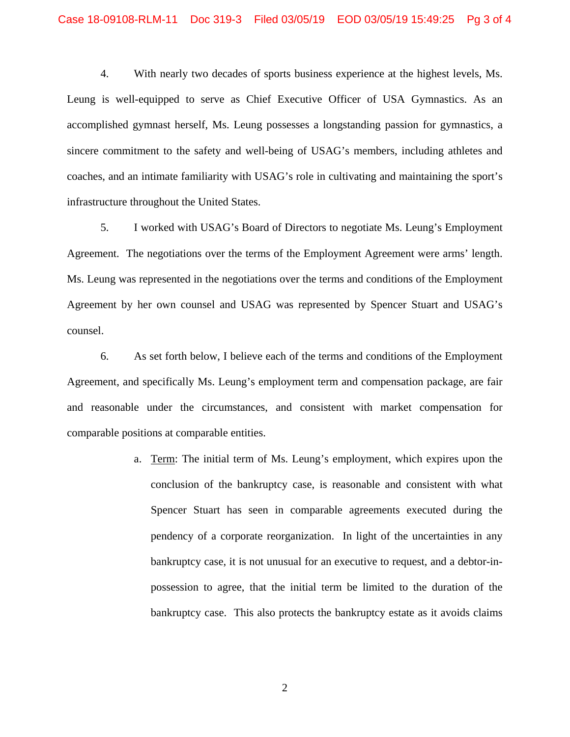4. With nearly two decades of sports business experience at the highest levels, Ms. Leung is well-equipped to serve as Chief Executive Officer of USA Gymnastics. As an accomplished gymnast herself, Ms. Leung possesses a longstanding passion for gymnastics, a sincere commitment to the safety and well-being of USAG's members, including athletes and coaches, and an intimate familiarity with USAG's role in cultivating and maintaining the sport's infrastructure throughout the United States.

5. I worked with USAG's Board of Directors to negotiate Ms. Leung's Employment Agreement. The negotiations over the terms of the Employment Agreement were arms' length. Ms. Leung was represented in the negotiations over the terms and conditions of the Employment Agreement by her own counsel and USAG was represented by Spencer Stuart and USAG's counsel.

6. As set forth below, I believe each of the terms and conditions of the Employment Agreement, and specifically Ms. Leung's employment term and compensation package, are fair and reasonable under the circumstances, and consistent with market compensation for comparable positions at comparable entities.

> a. Term: The initial term of Ms. Leung's employment, which expires upon the conclusion of the bankruptcy case, is reasonable and consistent with what Spencer Stuart has seen in comparable agreements executed during the pendency of a corporate reorganization. In light of the uncertainties in any bankruptcy case, it is not unusual for an executive to request, and a debtor-inpossession to agree, that the initial term be limited to the duration of the bankruptcy case. This also protects the bankruptcy estate as it avoids claims

> > 2